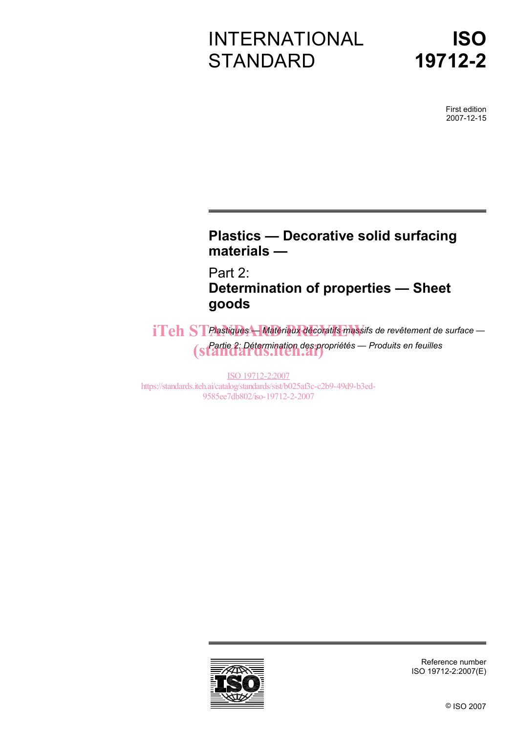# INTERNATIONAL **STANDARD**

# **ISO 19712-2**

First edition 2007-12-15

## **Plastics — Decorative solid surfacing materials —**

Part 2: **Determination of properties — Sheet goods** 

 $i**Teh**$  ST Plastiques — Matériaux décoratifs massifs de revêtement de surface — *Partie 2: Détermination des propriétés — Produits en feuilles*  (standards.iteh.ai)

ISO 19712-2:2007 https://standards.iteh.ai/catalog/standards/sist/b025af3c-c2b9-49d9-b3ed-9585ee7db802/iso-19712-2-2007



Reference number ISO 19712-2:2007(E)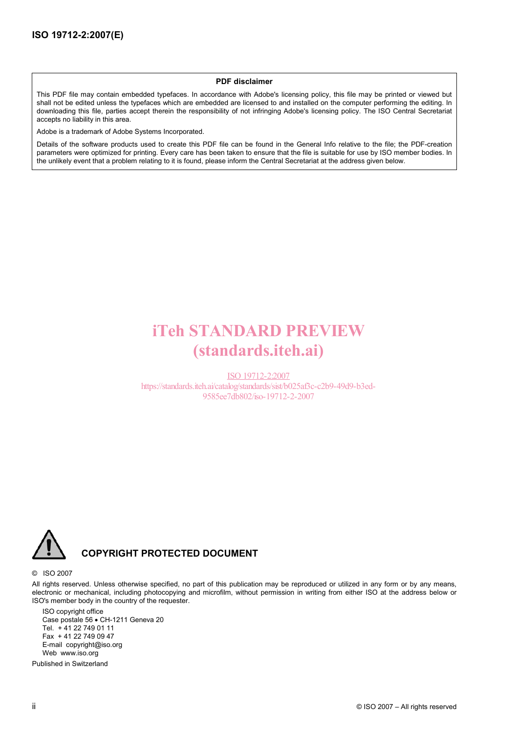#### **PDF disclaimer**

This PDF file may contain embedded typefaces. In accordance with Adobe's licensing policy, this file may be printed or viewed but shall not be edited unless the typefaces which are embedded are licensed to and installed on the computer performing the editing. In downloading this file, parties accept therein the responsibility of not infringing Adobe's licensing policy. The ISO Central Secretariat accepts no liability in this area.

Adobe is a trademark of Adobe Systems Incorporated.

Details of the software products used to create this PDF file can be found in the General Info relative to the file; the PDF-creation parameters were optimized for printing. Every care has been taken to ensure that the file is suitable for use by ISO member bodies. In the unlikely event that a problem relating to it is found, please inform the Central Secretariat at the address given below.

# iTeh STANDARD PREVIEW (standards.iteh.ai)

ISO 19712-2:2007 https://standards.iteh.ai/catalog/standards/sist/b025af3c-c2b9-49d9-b3ed-9585ee7db802/iso-19712-2-2007



#### **COPYRIGHT PROTECTED DOCUMENT**

#### © ISO 2007

All rights reserved. Unless otherwise specified, no part of this publication may be reproduced or utilized in any form or by any means, electronic or mechanical, including photocopying and microfilm, without permission in writing from either ISO at the address below or ISO's member body in the country of the requester.

ISO copyright office Case postale 56 • CH-1211 Geneva 20 Tel. + 41 22 749 01 11 Fax + 41 22 749 09 47 E-mail copyright@iso.org Web www.iso.org

Published in Switzerland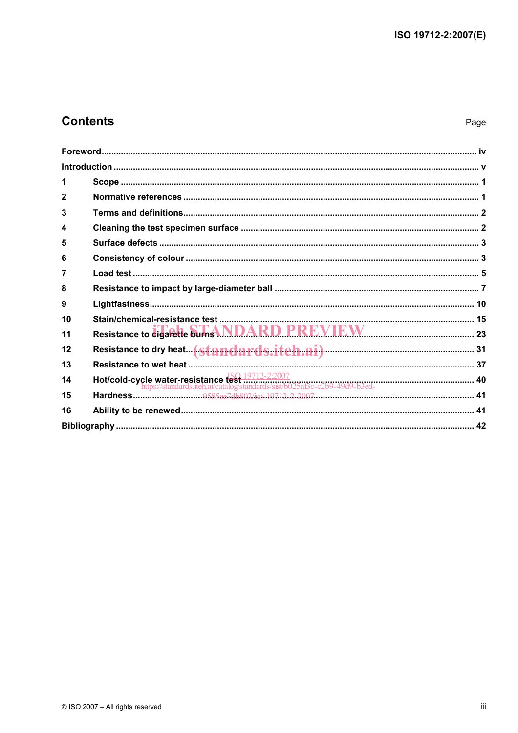## **Contents**

### Page

| 2                                                                                                                                                    |  |
|------------------------------------------------------------------------------------------------------------------------------------------------------|--|
| 3                                                                                                                                                    |  |
| 4                                                                                                                                                    |  |
| 5                                                                                                                                                    |  |
| 6                                                                                                                                                    |  |
| 7                                                                                                                                                    |  |
| 8                                                                                                                                                    |  |
| 9                                                                                                                                                    |  |
| 10                                                                                                                                                   |  |
| Resistance to digarette burns NDARD PREVIEW [23] 23<br>11                                                                                            |  |
| 12                                                                                                                                                   |  |
| 13                                                                                                                                                   |  |
| Hot/cold-cycle water-resistance test $\frac{150.19712-2:2007}{1000}$ https://standards.iteh.ai/catalog/standards/sist/b025af3c-c2b9-49d9-b3ed-<br>14 |  |
| 15                                                                                                                                                   |  |
| 16                                                                                                                                                   |  |
|                                                                                                                                                      |  |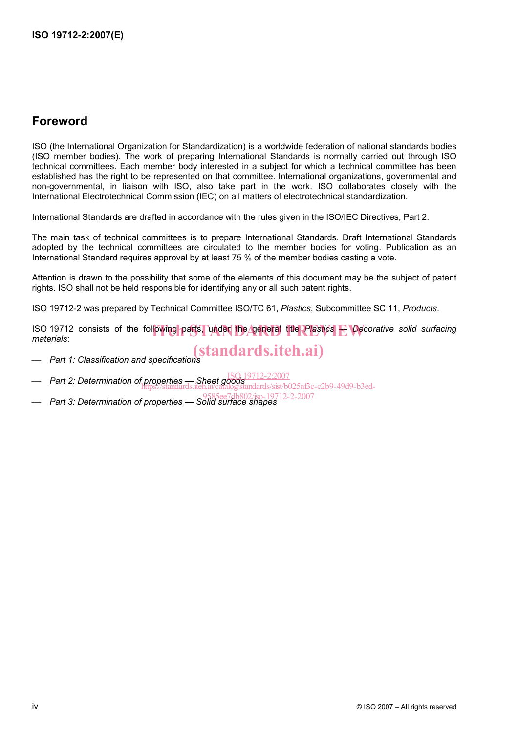## **Foreword**

ISO (the International Organization for Standardization) is a worldwide federation of national standards bodies (ISO member bodies). The work of preparing International Standards is normally carried out through ISO technical committees. Each member body interested in a subject for which a technical committee has been established has the right to be represented on that committee. International organizations, governmental and non-governmental, in liaison with ISO, also take part in the work. ISO collaborates closely with the International Electrotechnical Commission (IEC) on all matters of electrotechnical standardization.

International Standards are drafted in accordance with the rules given in the ISO/IEC Directives, Part 2.

The main task of technical committees is to prepare International Standards. Draft International Standards adopted by the technical committees are circulated to the member bodies for voting. Publication as an International Standard requires approval by at least 75 % of the member bodies casting a vote.

Attention is drawn to the possibility that some of the elements of this document may be the subject of patent rights. ISO shall not be held responsible for identifying any or all such patent rights.

ISO 19712-2 was prepared by Technical Committee ISO/TC 61, *Plastics*, Subcommittee SC 11, *Products*.

ISO 19712 consists of the following parts, under the general title *Plastics* + *Decorative solid surfacing*<br>materials *materials*:

⎯ *Part 1: Classification and specifications* (standards.iteh.ai)

- 
- Part 2: Determination of properties Sheet goods ISO 19712-2:2007
- https://standards.iteh.ai/catalog/standards/sist/b025af3c-c2b9-49d9-b3ed-
- ⎯ *Part 3: Determination of properties Solid surface shapes* 9585ee7db802/iso-19712-2-2007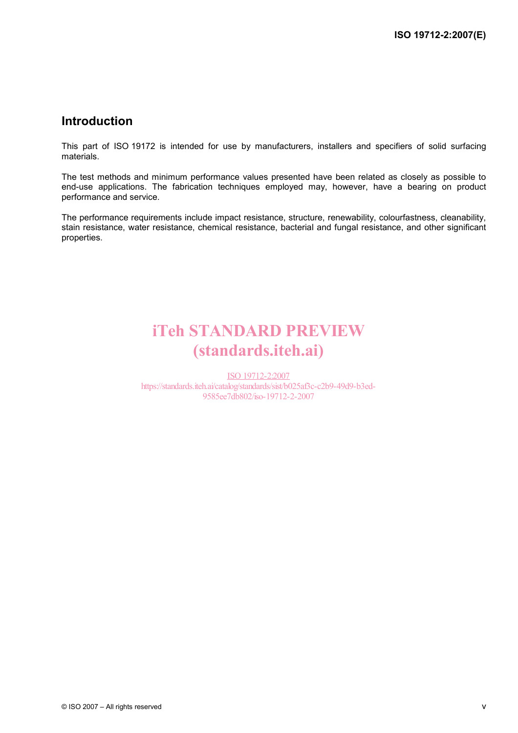## **Introduction**

This part of ISO 19172 is intended for use by manufacturers, installers and specifiers of solid surfacing materials.

The test methods and minimum performance values presented have been related as closely as possible to end-use applications. The fabrication techniques employed may, however, have a bearing on product performance and service.

The performance requirements include impact resistance, structure, renewability, colourfastness, cleanability, stain resistance, water resistance, chemical resistance, bacterial and fungal resistance, and other significant properties.

# iTeh STANDARD PREVIEW (standards.iteh.ai)

ISO 19712-2:2007 https://standards.iteh.ai/catalog/standards/sist/b025af3c-c2b9-49d9-b3ed-9585ee7db802/iso-19712-2-2007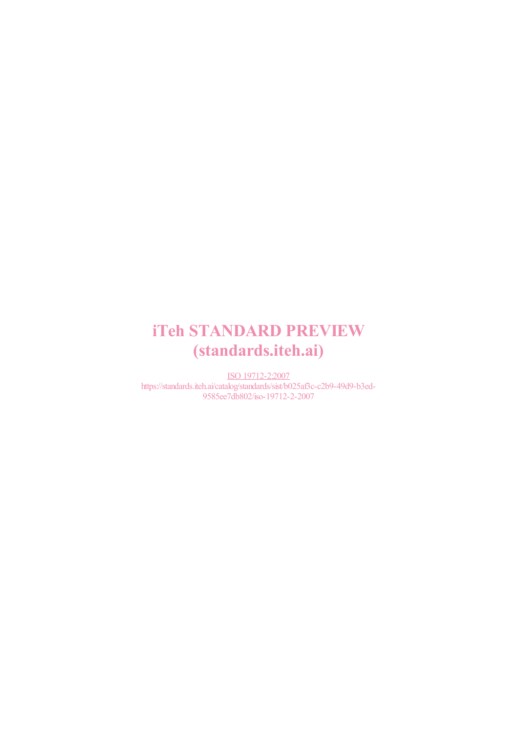# iTeh STANDARD PREVIEW (standards.iteh.ai)

ISO 19712-2:2007 https://standards.iteh.ai/catalog/standards/sist/b025af3c-c2b9-49d9-b3ed-9585ee7db802/iso-19712-2-2007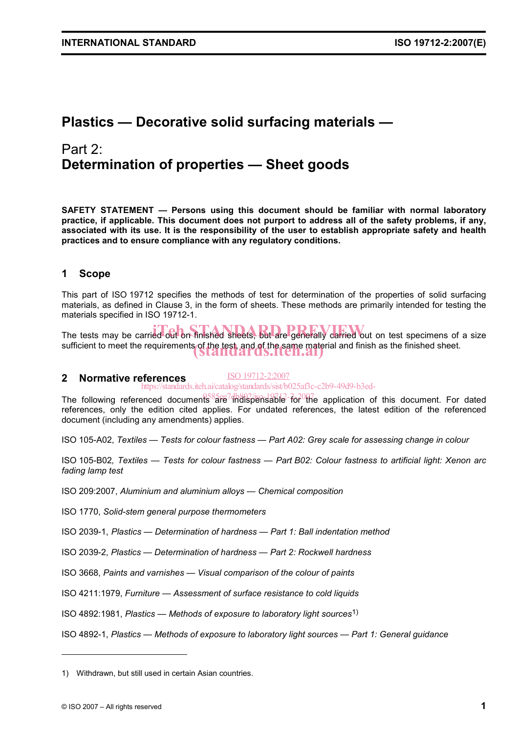## **Plastics — Decorative solid surfacing materials —**

## Part 2: **Determination of properties — Sheet goods**

**SAFETY STATEMENT — Persons using this document should be familiar with normal laboratory practice, if applicable. This document does not purport to address all of the safety problems, if any, associated with its use. It is the responsibility of the user to establish appropriate safety and health practices and to ensure compliance with any regulatory conditions.** 

### **1 Scope**

This part of ISO 19712 specifies the methods of test for determination of the properties of solid surfacing materials, as defined in Clause 3, in the form of sheets. These methods are primarily intended for testing the materials specified in ISO 19712-1.

The tests may be carried out on finished sheets, but are generally carried out on test specimens of a size sufficient to meet the requirements of the test, and of the same material and finish as the finished sheet.<br>
Standard S. Iten.ai

#### **2 Normative references**  ISO 19712-2:2007 https://standards.iteh.ai/catalog/standards/sist/b025af3c-c2b9-49d9-b3ed-

The following referenced documents<sup>8</sup>are<sup>7</sup> hdispensable for the application of this document. For dated references, only the edition cited applies. For undated references, the latest edition of the referenced document (including any amendments) applies.

ISO 105-A02, *Textiles — Tests for colour fastness — Part A02: Grey scale for assessing change in colour*

ISO 105-B02*, Textiles — Tests for colour fastness — Part B02: Colour fastness to artificial light: Xenon arc fading lamp test*

ISO 209:2007, *Aluminium and aluminium alloys — Chemical composition*

ISO 1770, *Solid-stem general purpose thermometers*

ISO 2039-1, *Plastics — Determination of hardness — Part 1: Ball indentation method*

ISO 2039-2, *Plastics — Determination of hardness — Part 2: Rockwell hardness*

ISO 3668, *Paints and varnishes — Visual comparison of the colour of paints*

ISO 4211:1979, *Furniture — Assessment of surface resistance to cold liquids*

ISO 4892:1981, *Plastics — Methods of exposure to laboratory light sources*1)

ISO 4892-1, *Plastics — Methods of exposure to laboratory light sources — Part 1: General guidance*

l

<sup>1)</sup> Withdrawn, but still used in certain Asian countries.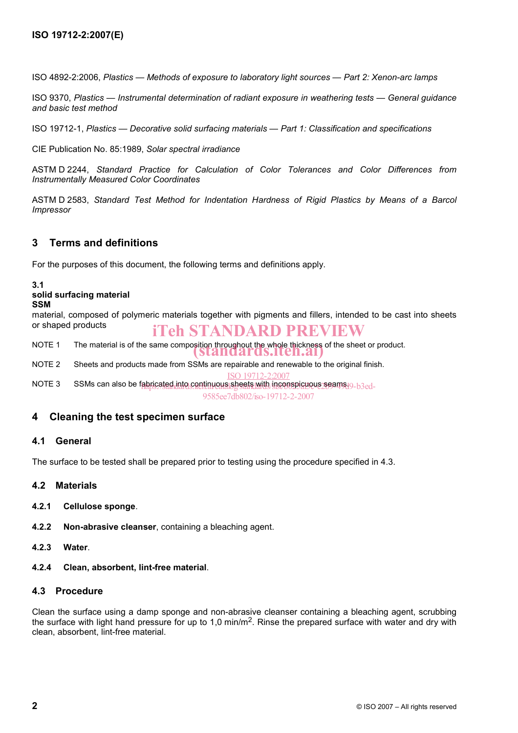ISO 4892-2:2006, *Plastics — Methods of exposure to laboratory light sources — Part 2: Xenon-arc lamps*

ISO 9370, *Plastics — Instrumental determination of radiant exposure in weathering tests — General guidance and basic test method*

ISO 19712-1, *Plastics — Decorative solid surfacing materials — Part 1: Classification and specifications*

CIE Publication No. 85:1989, *Solar spectral irradiance*

ASTM D 2244, *Standard Practice for Calculation of Color Tolerances and Color Differences from Instrumentally Measured Color Coordinates*

ASTM D 2583, *Standard Test Method for Indentation Hardness of Rigid Plastics by Means of a Barcol Impressor*

#### **3 Terms and definitions**

For the purposes of this document, the following terms and definitions apply.

#### **3.1**

#### **solid surfacing material**

#### **SSM**

material, composed of polymeric materials together with pigments and fillers, intended to be cast into sheets or shaped products iTeh STANDARD PREVIEW

NOTE 1 The material is of the same composition throughout the whole thickness of the sheet or product.<br>
Standards.iten.ai

NOTE 2 Sheets and products made from SSMs are repairable and renewable to the original finish.

ISO 19712-2:2007

NOTE 3 SSMs can also be fabricated into continuous sheets with inconspicuous seams 19-b3ed-9585ee7db802/iso-19712-2-2007

#### **4 Cleaning the test specimen surface**

#### **4.1 General**

The surface to be tested shall be prepared prior to testing using the procedure specified in 4.3.

- **4.2 Materials**
- **4.2.1 Cellulose sponge**.
- **4.2.2 Non-abrasive cleanser**, containing a bleaching agent.
- **4.2.3 Water**.
- **4.2.4 Clean, absorbent, lint-free material**.

#### **4.3 Procedure**

Clean the surface using a damp sponge and non-abrasive cleanser containing a bleaching agent, scrubbing the surface with light hand pressure for up to 1,0 min/m<sup>2</sup>. Rinse the prepared surface with water and dry with clean, absorbent, lint-free material.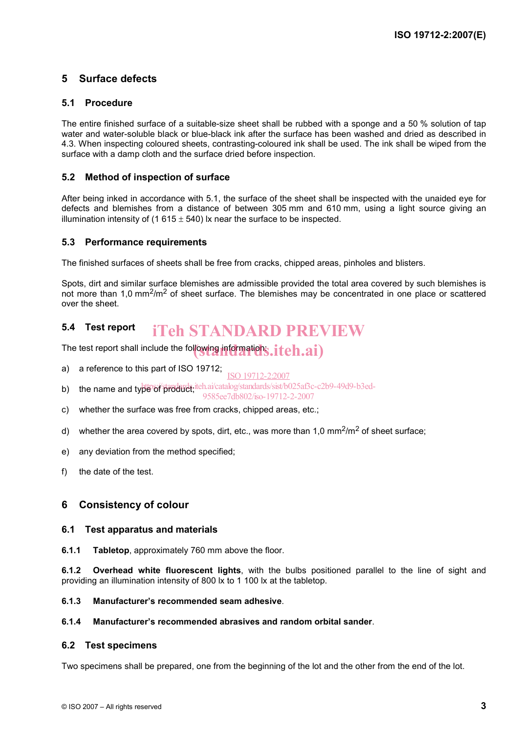### **5 Surface defects**

#### **5.1 Procedure**

The entire finished surface of a suitable-size sheet shall be rubbed with a sponge and a 50 % solution of tap water and water-soluble black or blue-black ink after the surface has been washed and dried as described in 4.3. When inspecting coloured sheets, contrasting-coloured ink shall be used. The ink shall be wiped from the surface with a damp cloth and the surface dried before inspection.

#### **5.2 Method of inspection of surface**

After being inked in accordance with 5.1, the surface of the sheet shall be inspected with the unaided eye for defects and blemishes from a distance of between 305 mm and 610 mm, using a light source giving an illumination intensity of (1 615  $\pm$  540) lx near the surface to be inspected.

#### **5.3 Performance requirements**

The finished surfaces of sheets shall be free from cracks, chipped areas, pinholes and blisters.

Spots, dirt and similar surface blemishes are admissible provided the total area covered by such blemishes is not more than 1,0 mm<sup>2</sup>/m<sup>2</sup> of sheet surface. The blemishes may be concentrated in one place or scattered over the sheet.

#### **5.4 Test report**  iTeh STANDARD PREVIEW

The test report shall include the following informations,  $\begin{equation} \mathbf{iteh}.\mathbf{ai}) \end{equation}$ 

- a) a reference to this part of ISO 19712; ISO 19712-2:2007
- b) the name and type of product; iteh.ai/catalog/standards/sist/b025af3c-c2b9-49d9-b3ed-
- 9585ee7db802/iso-19712-2-2007
- c) whether the surface was free from cracks, chipped areas, etc.;
- d) whether the area covered by spots, dirt, etc., was more than 1,0  $mm<sup>2</sup>/m<sup>2</sup>$  of sheet surface;
- e) any deviation from the method specified;
- f) the date of the test.

#### **6 Consistency of colour**

#### **6.1 Test apparatus and materials**

**6.1.1 Tabletop**, approximately 760 mm above the floor.

**6.1.2 Overhead white fluorescent lights**, with the bulbs positioned parallel to the line of sight and providing an illumination intensity of 800 lx to 1 100 lx at the tabletop.

#### **6.1.3 Manufacturer's recommended seam adhesive**.

#### **6.1.4 Manufacturer's recommended abrasives and random orbital sander**.

#### **6.2 Test specimens**

Two specimens shall be prepared, one from the beginning of the lot and the other from the end of the lot.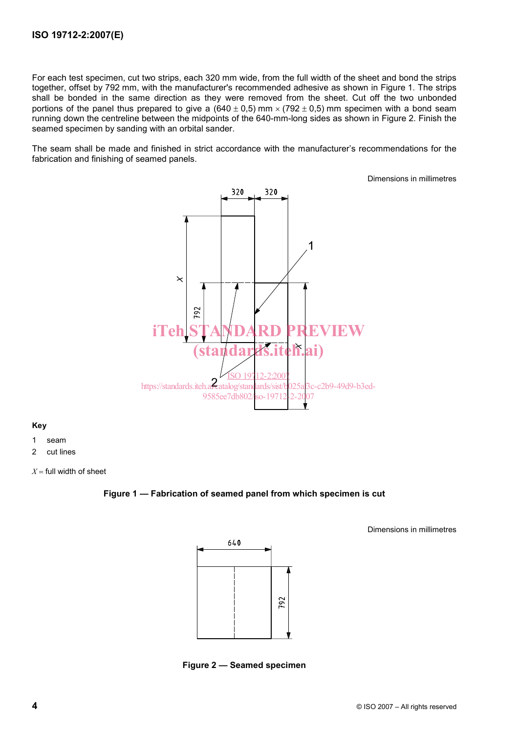For each test specimen, cut two strips, each 320 mm wide, from the full width of the sheet and bond the strips together, offset by 792 mm, with the manufacturer's recommended adhesive as shown in Figure 1. The strips shall be bonded in the same direction as they were removed from the sheet. Cut off the two unbonded portions of the panel thus prepared to give a  $(640 \pm 0.5)$  mm ×  $(792 \pm 0.5)$  mm specimen with a bond seam running down the centreline between the midpoints of the 640-mm-long sides as shown in Figure 2. Finish the seamed specimen by sanding with an orbital sander.

The seam shall be made and finished in strict accordance with the manufacturer's recommendations for the fabrication and finishing of seamed panels.

Dimensions in millimetres



**Key** 

- 1 seam
- 2 cut lines

 $X =$  full width of sheet

#### **Figure 1 — Fabrication of seamed panel from which specimen is cut**



Dimensions in millimetres

**Figure 2 — Seamed specimen**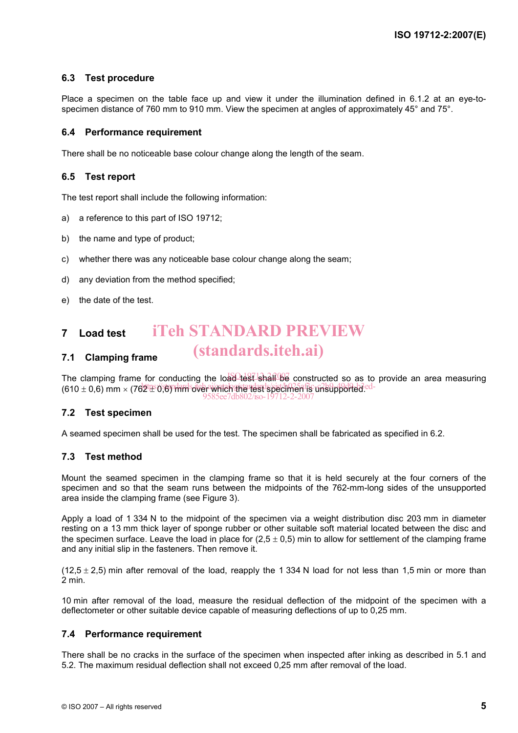#### **6.3 Test procedure**

Place a specimen on the table face up and view it under the illumination defined in 6.1.2 at an eye-tospecimen distance of 760 mm to 910 mm. View the specimen at angles of approximately 45° and 75°.

#### **6.4 Performance requirement**

There shall be no noticeable base colour change along the length of the seam.

#### **6.5 Test report**

The test report shall include the following information:

- a) a reference to this part of ISO 19712;
- b) the name and type of product;
- c) whether there was any noticeable base colour change along the seam;
- d) any deviation from the method specified;
- e) the date of the test.

#### **7 Load test**  iTeh STANDARD PREVIEW

## (standards.iteh.ai)

**7.1 Clamping frame** 

The clamping frame for conducting the load test shall be constructed so as to provide an area measuring  $(610 \pm 0.6)$  mm  $\times$  (762  $\pm$  0,6) mm  $^2$  over  $^2$  mm  $^2$  mm  $^2$  mm  $^2$  mm  $^2$  mm  $^2$  mm  $^2$  mm  $^2$  mm  $^2$  mm  $^2$  mm  $^2$  mm  $^2$  mm  $^2$  mm  $^2$  mm  $^2$  mm  $^2$  mm  $^2$  mm  $^2$  mm  $^2$  mm  $^2$  mm  $^2$  mm  $^2$ 9585ee7db802/iso-19712-2-2007

#### **7.2 Test specimen**

A seamed specimen shall be used for the test. The specimen shall be fabricated as specified in 6.2.

#### **7.3 Test method**

Mount the seamed specimen in the clamping frame so that it is held securely at the four corners of the specimen and so that the seam runs between the midpoints of the 762-mm-long sides of the unsupported area inside the clamping frame (see Figure 3).

Apply a load of 1 334 N to the midpoint of the specimen via a weight distribution disc 203 mm in diameter resting on a 13 mm thick layer of sponge rubber or other suitable soft material located between the disc and the specimen surface. Leave the load in place for  $(2.5 \pm 0.5)$  min to allow for settlement of the clamping frame and any initial slip in the fasteners. Then remove it.

 $(12.5 \pm 2.5)$  min after removal of the load, reapply the 1 334 N load for not less than 1.5 min or more than 2 min.

10 min after removal of the load, measure the residual deflection of the midpoint of the specimen with a deflectometer or other suitable device capable of measuring deflections of up to 0,25 mm.

#### **7.4 Performance requirement**

There shall be no cracks in the surface of the specimen when inspected after inking as described in 5.1 and 5.2. The maximum residual deflection shall not exceed 0,25 mm after removal of the load.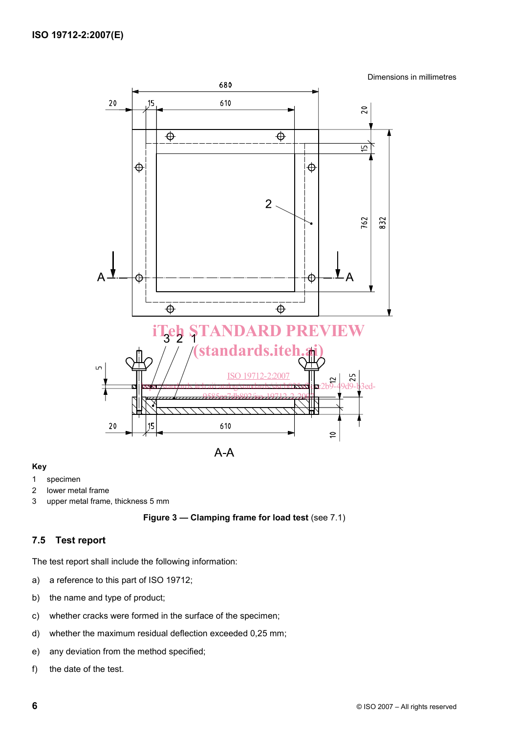Dimensions in millimetres



#### **Key**

- 1 specimen
- 2 lower metal frame
- 3 upper metal frame, thickness 5 mm



#### **7.5 Test report**

The test report shall include the following information:

- a) a reference to this part of ISO 19712;
- b) the name and type of product;
- c) whether cracks were formed in the surface of the specimen;
- d) whether the maximum residual deflection exceeded 0,25 mm;
- e) any deviation from the method specified;
- f) the date of the test.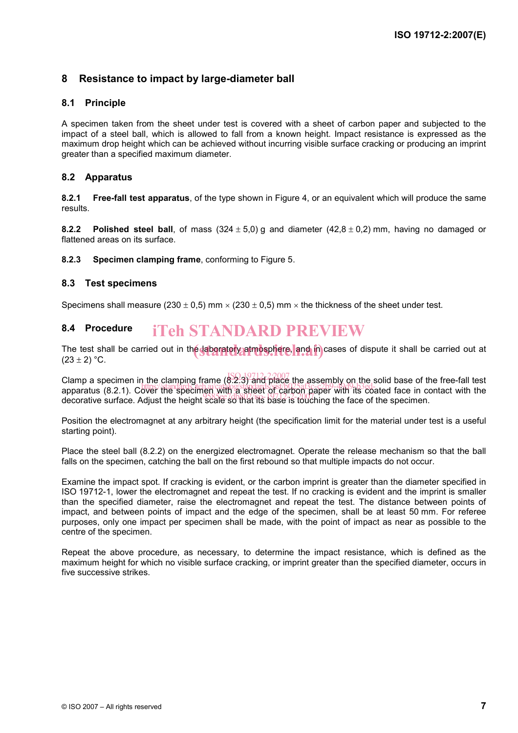### **8 Resistance to impact by large-diameter ball**

#### **8.1 Principle**

A specimen taken from the sheet under test is covered with a sheet of carbon paper and subjected to the impact of a steel ball, which is allowed to fall from a known height. Impact resistance is expressed as the maximum drop height which can be achieved without incurring visible surface cracking or producing an imprint greater than a specified maximum diameter.

#### **8.2 Apparatus**

**8.2.1 Free-fall test apparatus**, of the type shown in Figure 4, or an equivalent which will produce the same results.

**8.2.2 Polished steel ball**, of mass  $(324 \pm 5.0)$  g and diameter  $(42.8 \pm 0.2)$  mm, having no damaged or flattened areas on its surface.

**8.2.3 Specimen clamping frame**, conforming to Figure 5.

#### **8.3 Test specimens**

Specimens shall measure (230  $\pm$  0,5) mm  $\times$  (230  $\pm$  0,5) mm  $\times$  the thickness of the sheet under test.

## **8.4 Procedure**

The test shall be carried out in the laboratory atmosphere, and in cases of dispute it shall be carried out at<br>(23 + 2) °C  $(23 \pm 2)$  °C.

Clamp a specimen in the clamping frame  $(8.2,3)$  and place the assembly on the solid base of the free-fall test ording a specimen in the clamping hange of carbon paper with the sond base of the hee-rail test<br>apparatus (8.2.1). Cover the specimen with a sheet of carbon paper with its coated face in contact with the appendies (6.2.1). Obter the specifical scale so that its base is touching the face of the specimen.

Position the electromagnet at any arbitrary height (the specification limit for the material under test is a useful starting point).

Place the steel ball (8.2.2) on the energized electromagnet. Operate the release mechanism so that the ball falls on the specimen, catching the ball on the first rebound so that multiple impacts do not occur.

Examine the impact spot. If cracking is evident, or the carbon imprint is greater than the diameter specified in ISO 19712-1, lower the electromagnet and repeat the test. If no cracking is evident and the imprint is smaller than the specified diameter, raise the electromagnet and repeat the test. The distance between points of impact, and between points of impact and the edge of the specimen, shall be at least 50 mm. For referee purposes, only one impact per specimen shall be made, with the point of impact as near as possible to the centre of the specimen. 8.4 **Procedure iTeh STANDARD PREVIEW**<br>The test shall be carried out in the **departed APD PREVIEW**<br>The test shall be carried out in the **departed APD PREVIEW**<br>Clamp a specimen in the clamping frame  $(82.3)^{2}$  and piled

Repeat the above procedure, as necessary, to determine the impact resistance, which is defined as the maximum height for which no visible surface cracking, or imprint greater than the specified diameter, occurs in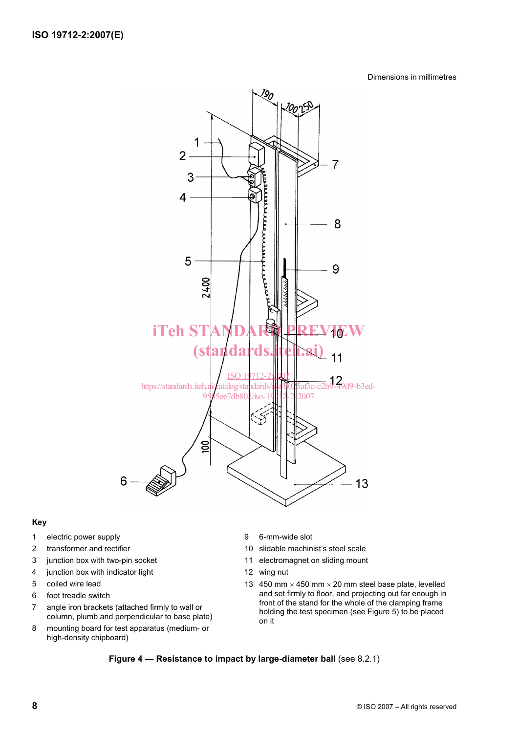#### Dimensions in millimetres



#### **Key**

- 1 electric power supply
- 2 transformer and rectifier
- 3 junction box with two-pin socket
- 4 junction box with indicator light
- 5 coiled wire lead
- 6 foot treadle switch
- 7 angle iron brackets (attached firmly to wall or column, plumb and perpendicular to base plate)
- 8 mounting board for test apparatus (medium- or high-density chipboard)
- 9 6-mm-wide slot
- 10 slidable machinist's steel scale
- 11 electromagnet on sliding mount
- 12 wing nut
- 13 450 mm  $\times$  450 mm  $\times$  20 mm steel base plate, levelled and set firmly to floor, and projecting out far enough in front of the stand for the whole of the clamping frame holding the test specimen (see Figure 5) to be placed on it

#### **Figure 4 — Resistance to impact by large-diameter ball** (see 8.2.1)